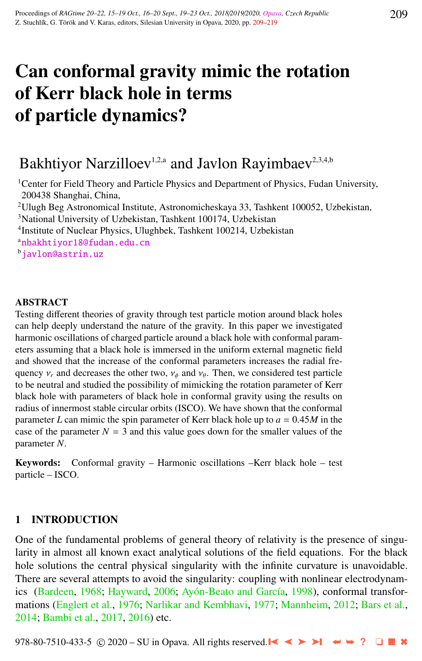# Can conformal gravity mimic the rotation of Kerr black hole in terms of particle dynamics?

## Bakhtiyor Narzilloev<sup>1,2,a</sup> and Javlon Rayimbaev<sup>2,3,4,b</sup>

<sup>1</sup> Center for Field Theory and Particle Physics and Department of Physics, Fudan University, 200438 Shanghai, China,

<sup>2</sup>Ulugh Beg Astronomical Institute, Astronomicheskaya 33, Tashkent 100052, Uzbekistan,

<sup>3</sup>National University of Uzbekistan, Tashkent 100174, Uzbekistan

4 Institute of Nuclear Physics, Ulughbek, Tashkent 100214, Uzbekistan

<sup>a</sup>[nbakhtiyor18@fudan.edu.cn](http://www.physics.cz/ nbakhtiyor18@fudan.edu.cn)

<sup>b</sup>[javlon@astrin.uz](http://www.physics.cz/ javlon@astrin.uz)

### ABSTRACT

Testing different theories of gravity through test particle motion around black holes can help deeply understand the nature of the gravity. In this paper we investigated harmonic oscillations of charged particle around a black hole with conformal parameters assuming that a black hole is immersed in the uniform external magnetic field and showed that the increase of the conformal parameters increases the radial frequency  $v_r$  and decreases the other two,  $v_{\phi}$  and  $v_{\theta}$ . Then, we considered test particle<br>to be neutral and studied the possibility of mimicking the rotation parameter of Kerr to be neutral and studied the possibility of mimicking the rotation parameter of Kerr black hole with parameters of black hole in conformal gravity using the results on radius of innermost stable circular orbits (ISCO). We have shown that the conformal parameter *<sup>L</sup>* can mimic the spin parameter of Kerr black hole up to *<sup>a</sup>* <sup>=</sup> <sup>0</sup>.45*<sup>M</sup>* in the case of the parameter  $N = 3$  and this value goes down for the smaller values of the parameter *N*.

Keywords: Conformal gravity – Harmonic oscillations –Kerr black hole – test particle – ISCO.

## 1 INTRODUCTION

One of the fundamental problems of general theory of relativity is the presence of singularity in almost all known exact analytical solutions of the field equations. For the black hole solutions the central physical singularity with the infinite curvature is unavoidable. There are several attempts to avoid the singularity: coupling with nonlinear electrodynam-ics [\(Bardeen,](#page-9-0) [1968;](#page-9-0) [Hayward,](#page-9-0) [2006;](#page-9-0) Ayón-Beato and García, [1998\)](#page-9-0), conformal transformations [\(Englert et al.,](#page-9-0) [1976;](#page-9-0) [Narlikar and Kembhavi,](#page-9-0) [1977;](#page-9-0) [Mannheim,](#page-9-0) [2012;](#page-9-0) [Bars et al.,](#page-9-0) [2014;](#page-9-0) [Bambi et al.,](#page-9-0) [2017,](#page-9-0) [2016\)](#page-9-0) etc.

978-80-7510-433-5 © 2020 – SU in Opava. All rights reserved. ➤❙ ➤➤ ➤❙ ➥➥ **?** ❏ ■ ✖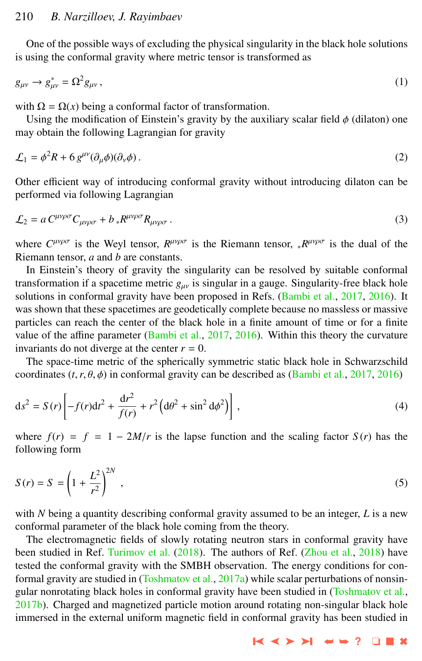One of the possible ways of excluding the physical singularity in the black hole solutions is using the conformal gravity where metric tensor is transformed as

$$
g_{\mu\nu} \to g_{\mu\nu}^* = \Omega^2 g_{\mu\nu},\tag{1}
$$

with  $\Omega = \Omega(x)$  being a conformal factor of transformation.

Using the modification of Einstein's gravity by the auxiliary scalar field  $\phi$  (dilaton) one may obtain the following Lagrangian for gravity

$$
\mathcal{L}_1 = \phi^2 R + 6 g^{\mu \nu} (\partial_\mu \phi)(\partial_\nu \phi).
$$
 (2)

Other efficient way of introducing conformal gravity without introducing dilaton can be performed via following Lagrangian

$$
\mathcal{L}_2 = a C^{\mu\nu\rho\sigma} C_{\mu\nu\rho\sigma} + b_* R^{\mu\nu\rho\sigma} R_{\mu\nu\rho\sigma} \,. \tag{3}
$$

where  $C^{\mu\nu\rho\sigma}$  is the Weyl tensor,  $R^{\mu\nu\rho\sigma}$  is the Riemann tensor,  ${}_{*}R^{\mu\nu\rho\sigma}$  is the dual of the Riemann tensor, *a* and *b* are constants.

In Einstein's theory of gravity the singularity can be resolved by suitable conformal transformation if a spacetime metric  $g_{\mu\nu}$  is singular in a gauge. Singularity-free black hole solutions in conformal gravity have been proposed in Refs. [\(Bambi et al.,](#page-9-0) [2017,](#page-9-0) [2016\)](#page-9-0). It was shown that these spacetimes are geodetically complete because no massless or massive particles can reach the center of the black hole in a finite amount of time or for a finite value of the affine parameter [\(Bambi et al.,](#page-9-0) [2017,](#page-9-0) [2016\)](#page-9-0). Within this theory the curvature invariants do not diverge at the center  $r = 0$ .

The space-time metric of the spherically symmetric static black hole in Schwarzschild coordinates  $(t, r, \theta, \phi)$  in conformal gravity can be described as [\(Bambi et al.,](#page-9-0) [2017,](#page-9-0) [2016\)](#page-9-0)

$$
ds^{2} = S(r)\left[-f(r)dt^{2} + \frac{dr^{2}}{f(r)} + r^{2}\left(d\theta^{2} + \sin^{2} d\phi^{2}\right)\right],
$$
\n(4)

where  $f(r) = f = 1 - 2M/r$  is the lapse function and the scaling factor  $S(r)$  has the following form

$$
S(r) = S = \left(1 + \frac{L^2}{r^2}\right)^{2N},
$$
\n(5)

with  $N$  being a quantity describing conformal gravity assumed to be an integer,  $L$  is a new conformal parameter of the black hole coming from the theory.

The electromagnetic fields of slowly rotating neutron stars in conformal gravity have been studied in Ref. [Turimov et al.](#page-10-0) [\(2018\)](#page-10-0). The authors of Ref. [\(Zhou et al.,](#page-10-0) [2018\)](#page-10-0) have tested the conformal gravity with the SMBH observation. The energy conditions for con-formal gravity are studied in [\(Toshmatov et al.,](#page-10-0) [2017a\)](#page-10-0) while scalar perturbations of nonsingular nonrotating black holes in conformal gravity have been studied in [\(Toshmatov et al.,](#page-10-0) [2017b\)](#page-10-0). Charged and magnetized particle motion around rotating non-singular black hole immersed in the external uniform magnetic field in conformal gravity has been studied in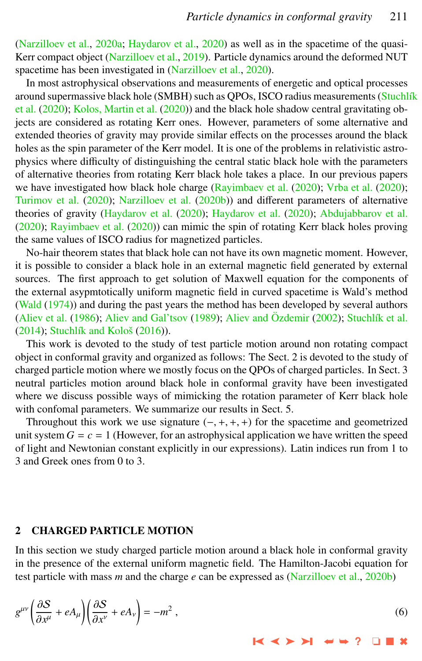<span id="page-2-0"></span>[\(Narzilloev et al.,](#page-9-0) [2020a;](#page-9-0) [Haydarov et al.,](#page-9-0) [2020\)](#page-9-0) as well as in the spacetime of the quasi-Kerr compact object [\(Narzilloev et al.,](#page-9-0) [2019\)](#page-9-0). Particle dynamics around the deformed NUT spacetime has been investigated in [\(Narzilloev et al.,](#page-9-0) [2020\)](#page-9-0).

In most astrophysical observations and measurements of energetic and optical processes around supermassive black hole (SMBH) such as QPOs, ISCO radius measurements (Stuchlík [et al.](#page-10-0) [\(2020\)](#page-10-0); [Kolos, Martin et al.](#page-9-0) [\(2020\)](#page-9-0)) and the black hole shadow central gravitating objects are considered as rotating Kerr ones. However, parameters of some alternative and extended theories of gravity may provide similar effects on the processes around the black holes as the spin parameter of the Kerr model. It is one of the problems in relativistic astrophysics where difficulty of distinguishing the central static black hole with the parameters of alternative theories from rotating Kerr black hole takes a place. In our previous papers we have investigated how black hole charge [\(Rayimbaev et al.](#page-10-0) [\(2020\)](#page-10-0); [Vrba et al.](#page-10-0) (2020); [Turimov et al.](#page-10-0) [\(2020\)](#page-10-0); [Narzilloev et al.](#page-9-0) [\(2020b\)](#page-9-0)) and different parameters of alternative theories of gravity [\(Haydarov et al.](#page-9-0) [\(2020\)](#page-9-0); [Haydarov et al.](#page-9-0) [\(2020\)](#page-9-0); [Abdujabbarov et al.](#page-8-0) [\(2020\)](#page-8-0); [Rayimbaev et al.](#page-9-0) [\(2020\)](#page-9-0)) can mimic the spin of rotating Kerr black holes proving the same values of ISCO radius for magnetized particles.

No-hair theorem states that black hole can not have its own magnetic moment. However, it is possible to consider a black hole in an external magnetic field generated by external sources. The first approach to get solution of Maxwell equation for the components of the external asypmtotically uniform magnetic field in curved spacetime is Wald's method [\(Wald](#page-10-0) [\(1974\)](#page-10-0)) and during the past years the method has been developed by several authors [\(Aliev et al.](#page-9-0) [\(1986\)](#page-9-0); [Aliev and Gal'tsov](#page-8-0) [\(1989\)](#page-8-0); [Aliev and](#page-9-0) Özdemir [\(2002\)](#page-9-0); Stuchlík et al. [\(2014\)](#page-10-0); Stuchlík and Kološ [\(2016\)](#page-10-0)).

This work is devoted to the study of test particle motion around non rotating compact object in conformal gravity and organized as follows: The Sect. 2 is devoted to the study of charged particle motion where we mostly focus on the QPOs of charged particles. In Sect. 3 neutral particles motion around black hole in conformal gravity have been investigated where we discuss possible ways of mimicking the rotation parameter of Kerr black hole with confomal parameters. We summarize our results in Sect. 5.

Throughout this work we use signature  $(-, +, +, +)$  for the spacetime and geometrized unit system  $G = c = 1$  (However, for an astrophysical application we have written the speed of light and Newtonian constant explicitly in our expressions). Latin indices run from 1 to 3 and Greek ones from 0 to 3.

#### 2 CHARGED PARTICLE MOTION

In this section we study charged particle motion around a black hole in conformal gravity in the presence of the external uniform magnetic field. The Hamilton-Jacobi equation for test particle with mass *m* and the charge *e* can be expressed as [\(Narzilloev et al.,](#page-9-0) [2020b\)](#page-9-0)

$$
g^{\mu\nu}\left(\frac{\partial S}{\partial x^{\mu}} + eA_{\mu}\right)\left(\frac{\partial S}{\partial x^{\nu}} + eA_{\nu}\right) = -m^2,
$$
\n(6)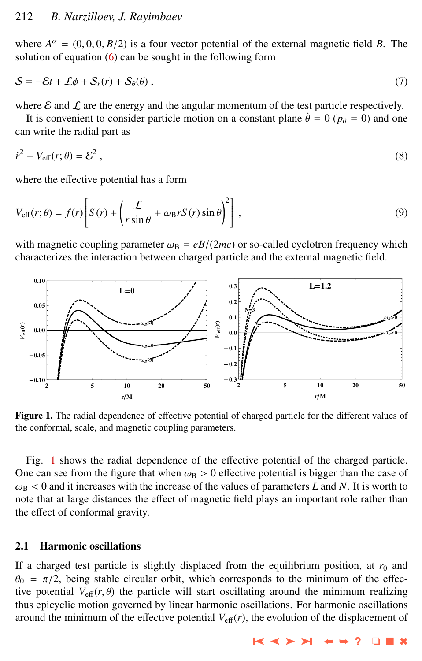where  $A^{\alpha} = (0, 0, 0, B/2)$  is a four vector potential of the external magnetic field *B*. The solution of equation (6) can be sought in the following form solution of equation  $(6)$  can be sought in the following form

$$
S = -\mathcal{E}t + \mathcal{L}\phi + \mathcal{S}_r(r) + \mathcal{S}_\theta(\theta) \,,\tag{7}
$$

where  $\mathcal E$  and  $\mathcal L$  are the energy and the angular momentum of the test particle respectively.

It is convenient to consider particle motion on a constant plane  $\dot{\theta} = 0$  ( $p_{\theta} = 0$ ) and one can write the radial part as

$$
\dot{r}^2 + V_{\text{eff}}(r; \theta) = \mathcal{E}^2 \,, \tag{8}
$$

where the effective potential has a form

$$
V_{\text{eff}}(r;\theta) = f(r) \left[ S(r) + \left( \frac{\mathcal{L}}{r \sin \theta} + \omega_{\text{B}} r S(r) \sin \theta \right)^2 \right],
$$
 (9)

with magnetic coupling parameter  $\omega_B = eB/(2mc)$  or so-called cyclotron frequency which characterizes the interaction between charged particle and the external magnetic field.



Figure 1. The radial dependence of effective potential of charged particle for the different values of the conformal, scale, and magnetic coupling parameters.

Fig. 1 shows the radial dependence of the effective potential of the charged particle. One can see from the figure that when  $\omega_B > 0$  effective potential is bigger than the case of  $\omega_{\rm B}$  < 0 and it increases with the increase of the values of parameters L and N. It is worth to note that at large distances the effect of magnetic field plays an important role rather than the effect of conformal gravity.

## 2.1 Harmonic oscillations

If a charged test particle is slightly displaced from the equilibrium position, at  $r<sub>0</sub>$  and  $\theta_0 = \pi/2$ , being stable circular orbit, which corresponds to the minimum of the effective potential  $V_{\text{eff}}(r, \theta)$  the particle will start oscillating around the minimum realizing thus epicyclic motion governed by linear harmonic oscillations. For harmonic oscillations around the minimum of the effective potential  $V_{\text{eff}}(r)$ , the evolution of the displacement of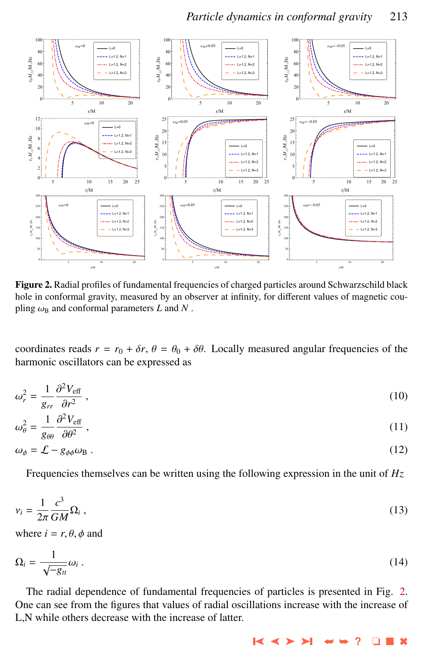

Figure 2. Radial profiles of fundamental frequencies of charged particles around Schwarzschild black hole in conformal gravity, measured by an observer at infinity, for different values of magnetic coupling  $\omega_B$  and conformal parameters *L* and *N*.

coordinates reads  $r = r_0 + \delta r$ ,  $\theta = \theta_0 + \delta \theta$ . Locally measured angular frequencies of the harmonic oscillators can be expressed as

$$
\omega_r^2 = \frac{1}{g_{rr}} \frac{\partial^2 V_{\text{eff}}}{\partial r^2} \,, \tag{10}
$$

$$
\omega_{\theta}^2 = \frac{1}{g_{\theta\theta}} \frac{\partial^2 V_{\text{eff}}}{\partial \theta^2} \,, \tag{11}
$$

$$
\omega_{\phi} = \mathcal{L} - g_{\phi\phi}\omega_{\text{B}}\,. \tag{12}
$$

Frequencies themselves can be written using the following expression in the unit of *Hz*

$$
\nu_i = \frac{1}{2\pi} \frac{c^3}{GM} \Omega_i \,,\tag{13}
$$

where  $i = r, \theta, \phi$  and

$$
\Omega_i = \frac{1}{\sqrt{-g_{tt}}} \omega_i \,. \tag{14}
$$

The radial dependence of fundamental frequencies of particles is presented in Fig. 2. One can see from the figures that values of radial oscillations increase with the increase of L,N while others decrease with the increase of latter.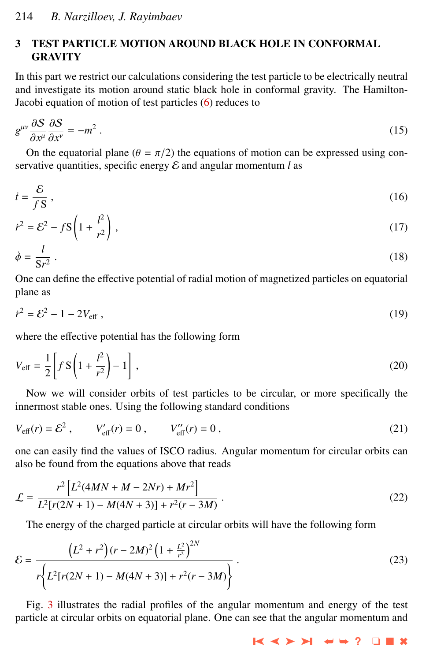## 3 TEST PARTICLE MOTION AROUND BLACK HOLE IN CONFORMAL **GRAVITY**

In this part we restrict our calculations considering the test particle to be electrically neutral and investigate its motion around static black hole in conformal gravity. The Hamilton-Jacobi equation of motion of test particles [\(6\)](#page-2-0) reduces to

$$
g^{\mu\nu}\frac{\partial S}{\partial x^{\mu}}\frac{\partial S}{\partial x^{\nu}} = -m^2.
$$
 (15)

On the equatorial plane  $(\theta = \pi/2)$  the equations of motion can be expressed using con-<br>existing quantities, specific energy  $\mathcal{E}$  and applier momentum *l* as servative quantities, specific energy  $\mathcal E$  and angular momentum  $l$  as

$$
\dot{t} = \frac{\mathcal{E}}{f\,\mathbf{S}}\,,\tag{16}
$$

$$
\dot{r}^2 = \mathcal{E}^2 - f\mathbf{S} \left( 1 + \frac{l^2}{r^2} \right),\tag{17}
$$

$$
\dot{\phi} = \frac{l}{\mathbf{S}r^2} \,. \tag{18}
$$

One can define the effective potential of radial motion of magnetized particles on equatorial plane as

$$
\dot{r}^2 = \mathcal{E}^2 - 1 - 2V_{\text{eff}} \,,\tag{19}
$$

where the effective potential has the following form

$$
V_{\text{eff}} = \frac{1}{2} \left[ f S \left( 1 + \frac{l^2}{r^2} \right) - 1 \right],
$$
 (20)

Now we will consider orbits of test particles to be circular, or more specifically the innermost stable ones. Using the following standard conditions

$$
V_{\text{eff}}(r) = \mathcal{E}^2 \,, \qquad V_{\text{eff}}'(r) = 0 \,, \qquad V_{\text{eff}}''(r) = 0 \,, \tag{21}
$$

one can easily find the values of ISCO radius. Angular momentum for circular orbits can also be found from the equations above that reads

$$
\mathcal{L} = \frac{r^2 \left[ L^2 (4MN + M - 2Nr) + Mr^2 \right]}{L^2 [r(2N + 1) - M(4N + 3)] + r^2 (r - 3M)}.
$$
\n(22)

The energy of the charged particle at circular orbits will have the following form

$$
\mathcal{E} = \frac{\left(L^2 + r^2\right)(r - 2M)^2 \left(1 + \frac{L^2}{r^2}\right)^{2N}}{r \left\{L^2[r(2N + 1) - M(4N + 3)] + r^2(r - 3M)\right\}}.
$$
\n(23)

Fig. [3](#page-6-0) illustrates the radial profiles of the angular momentum and energy of the test particle at circular orbits on equatorial plane. One can see that the angular momentum and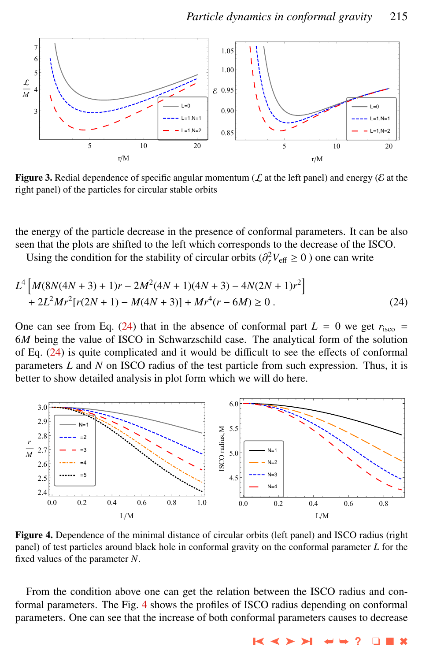<span id="page-6-0"></span>

**Figure 3.** Redial dependence of specific angular momentum ( $\mathcal{L}$  at the left panel) and energy ( $\mathcal{E}$  at the right panel) of the particles for circular stable orbits

the energy of the particle decrease in the presence of conformal parameters. It can be also seen that the plots are shifted to the left which corresponds to the decrease of the ISCO.

Using the condition for the stability of circular orbits ( $\partial_r^2 V_{\text{eff}} \ge 0$ ) one can write

$$
L^{4}\left[M(8N(4N+3)+1)r-2M^{2}(4N+1)(4N+3)-4N(2N+1)r^{2}\right] +2L^{2}Mr^{2}[r(2N+1)-M(4N+3)]+Mr^{4}(r-6M) \ge 0.
$$
 (24)

One can see from Eq. (24) that in the absence of conformal part  $L = 0$  we get  $r_{\text{isco}} =$ 6*M* being the value of ISCO in Schwarzschild case. The analytical form of the solution of Eq. (24) is quite complicated and it would be difficult to see the effects of conformal parameters *L* and *N* on ISCO radius of the test particle from such expression. Thus, it is better to show detailed analysis in plot form which we will do here.



Figure 4. Dependence of the minimal distance of circular orbits (left panel) and ISCO radius (right panel) of test particles around black hole in conformal gravity on the conformal parameter *L* for the fixed values of the parameter *N*.

From the condition above one can get the relation between the ISCO radius and conformal parameters. The Fig. 4 shows the profiles of ISCO radius depending on conformal parameters. One can see that the increase of both conformal parameters causes to decrease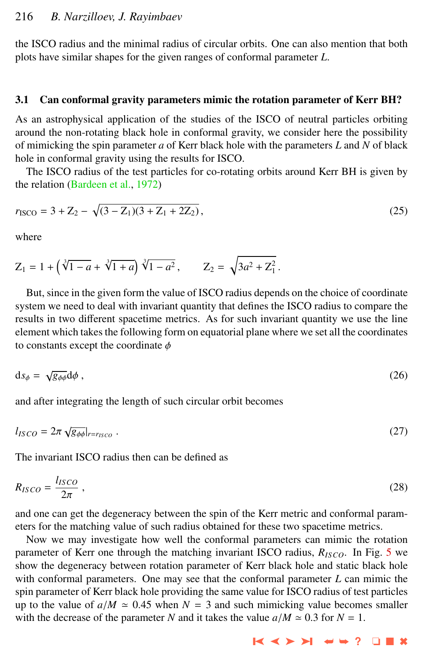the ISCO radius and the minimal radius of circular orbits. One can also mention that both plots have similar shapes for the given ranges of conformal parameter *L*.

### 3.1 Can conformal gravity parameters mimic the rotation parameter of Kerr BH?

As an astrophysical application of the studies of the ISCO of neutral particles orbiting around the non-rotating black hole in conformal gravity, we consider here the possibility of mimicking the spin parameter *a* of Kerr black hole with the parameters *L* and *N* of black hole in conformal gravity using the results for ISCO.

The ISCO radius of the test particles for co-rotating orbits around Kerr BH is given by the relation [\(Bardeen et al.,](#page-9-0) [1972\)](#page-9-0)

$$
r_{\text{ISCO}} = 3 + Z_2 - \sqrt{(3 - Z_1)(3 + Z_1 + 2Z_2)},\tag{25}
$$

where

$$
Z_1 = 1 + \left(\sqrt[3]{1-a} + \sqrt[3]{1+a}\right)\sqrt[3]{1-a^2}, \qquad Z_2 = \sqrt{3a^2 + Z_1^2}.
$$

But, since in the given form the value of ISCO radius depends on the choice of coordinate system we need to deal with invariant quantity that defines the ISCO radius to compare the results in two different spacetime metrics. As for such invariant quantity we use the line element which takes the following form on equatorial plane where we set all the coordinates to constants except the coordinate  $\phi$ 

$$
ds_{\phi} = \sqrt{g_{\phi\phi}} d\phi , \qquad (26)
$$

and after integrating the length of such circular orbit becomes

$$
l_{ISCO} = 2\pi \sqrt{g_{\phi\phi}}|_{r=r_{ISCO}} \ . \tag{27}
$$

The invariant ISCO radius then can be defined as

$$
R_{ISCO} = \frac{l_{ISCO}}{2\pi} \,,\tag{28}
$$

and one can get the degeneracy between the spin of the Kerr metric and conformal parameters for the matching value of such radius obtained for these two spacetime metrics.

Now we may investigate how well the conformal parameters can mimic the rotation parameter of Kerr one through the matching invariant ISCO radius,  $R_{ISCO}$ . In Fig. [5](#page-8-0) we show the degeneracy between rotation parameter of Kerr black hole and static black hole with conformal parameters. One may see that the conformal parameter *L* can mimic the spin parameter of Kerr black hole providing the same value for ISCO radius of test particles up to the value of  $a/M \approx 0.45$  when  $N = 3$  and such mimicking value becomes smaller with the decrease of the parameter *N* and it takes the value  $a/M \approx 0.3$  for  $N = 1$ .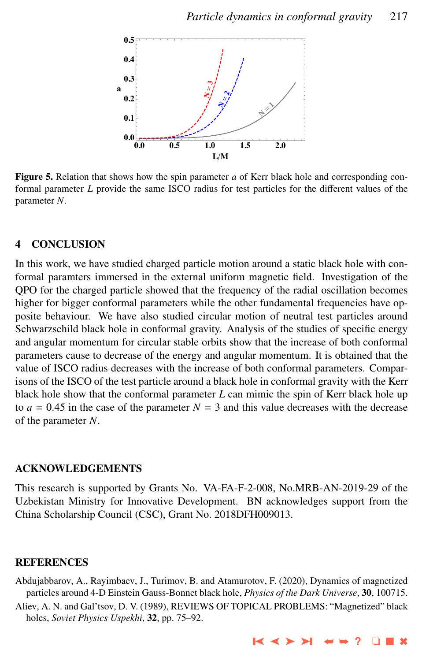<span id="page-8-0"></span>

Figure 5. Relation that shows how the spin parameter *a* of Kerr black hole and corresponding conformal parameter *L* provide the same ISCO radius for test particles for the different values of the parameter *N*.

## 4 CONCLUSION

In this work, we have studied charged particle motion around a static black hole with conformal paramters immersed in the external uniform magnetic field. Investigation of the QPO for the charged particle showed that the frequency of the radial oscillation becomes higher for bigger conformal parameters while the other fundamental frequencies have opposite behaviour. We have also studied circular motion of neutral test particles around Schwarzschild black hole in conformal gravity. Analysis of the studies of specific energy and angular momentum for circular stable orbits show that the increase of both conformal parameters cause to decrease of the energy and angular momentum. It is obtained that the value of ISCO radius decreases with the increase of both conformal parameters. Comparisons of the ISCO of the test particle around a black hole in conformal gravity with the Kerr black hole show that the conformal parameter *L* can mimic the spin of Kerr black hole up to  $a = 0.45$  in the case of the parameter  $N = 3$  and this value decreases with the decrease of the parameter *N*.

## ACKNOWLEDGEMENTS

This research is supported by Grants No. VA-FA-F-2-008, No.MRB-AN-2019-29 of the Uzbekistan Ministry for Innovative Development. BN acknowledges support from the China Scholarship Council (CSC), Grant No. 2018DFH009013.

## **REFERENCES**

- Abdujabbarov, A., Rayimbaev, J., Turimov, B. and Atamurotov, F. (2020), Dynamics of magnetized particles around 4-D Einstein Gauss-Bonnet black hole, *Physics of the Dark Universe*, 30, 100715.
- Aliev, A. N. and Gal'tsov, D. V. (1989), REVIEWS OF TOPICAL PROBLEMS: "Magnetized" black holes, *Soviet Physics Uspekhi*, 32, pp. 75–92.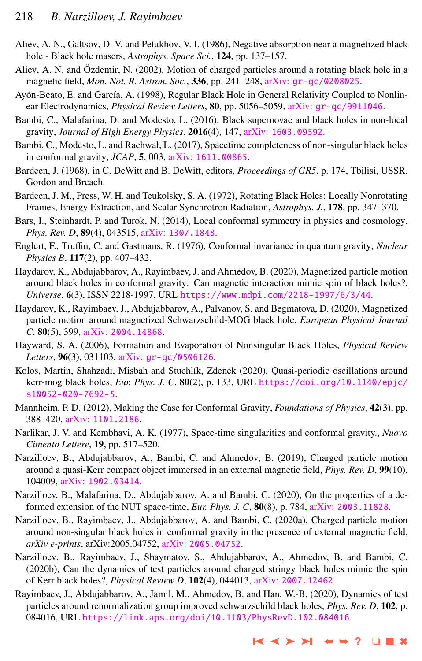- <span id="page-9-0"></span>Aliev, A. N., Galtsov, D. V. and Petukhov, V. I. (1986), Negative absorption near a magnetized black hole - Black hole masers, *Astrophys. Space Sci.*, 124, pp. 137–157.
- Aliev, A. N. and Özdemir, N. (2002), Motion of charged particles around a rotating black hole in a magnetic field, *Mon. Not. R. Astron. Soc.*, 336, pp. 241–248, arXiv: [gr-qc/0208025](http://www.arxiv.org/abs/gr-qc/0208025).
- Ayón-Beato, E. and García, A. (1998), Regular Black Hole in General Relativity Coupled to Nonlinear Electrodynamics, *Physical Review Letters*, 80, pp. 5056–5059, arXiv: [gr-qc/9911046](http://www.arxiv.org/abs/gr-qc/9911046).
- Bambi, C., Malafarina, D. and Modesto, L. (2016), Black supernovae and black holes in non-local gravity, *Journal of High Energy Physics*, 2016(4), 147, arXiv: [1603.09592](http://www.arxiv.org/abs/1603.09592).
- Bambi, C., Modesto, L. and Rachwał, L. (2017), Spacetime completeness of non-singular black holes in conformal gravity, *JCAP*, 5, 003, arXiv: [1611.00865](http://www.arxiv.org/abs/1611.00865).
- Bardeen, J. (1968), in C. DeWitt and B. DeWitt, editors, *Proceedings of GR5*, p. 174, Tbilisi, USSR, Gordon and Breach.
- Bardeen, J. M., Press, W. H. and Teukolsky, S. A. (1972), Rotating Black Holes: Locally Nonrotating Frames, Energy Extraction, and Scalar Synchrotron Radiation, *Astrophys. J.*, 178, pp. 347–370.
- Bars, I., Steinhardt, P. and Turok, N. (2014), Local conformal symmetry in physics and cosmology, *Phys. Rev. D*, 89(4), 043515, arXiv: [1307.1848](http://www.arxiv.org/abs/1307.1848).
- Englert, F., Truffin, C. and Gastmans, R. (1976), Conformal invariance in quantum gravity, *Nuclear Physics B*, 117(2), pp. 407–432.
- Haydarov, K., Abdujabbarov, A., Rayimbaev, J. and Ahmedov, B. (2020), Magnetized particle motion around black holes in conformal gravity: Can magnetic interaction mimic spin of black holes?, *Universe*, 6(3), ISSN 2218-1997, URL <https://www.mdpi.com/2218-1997/6/3/44>.
- Haydarov, K., Rayimbaev, J., Abdujabbarov, A., Palvanov, S. and Begmatova, D. (2020), Magnetized particle motion around magnetized Schwarzschild-MOG black hole, *European Physical Journal C*, 80(5), 399, arXiv: [2004.14868](http://www.arxiv.org/abs/2004.14868).
- Hayward, S. A. (2006), Formation and Evaporation of Nonsingular Black Holes, *Physical Review Letters*, 96(3), 031103, arXiv: [gr-qc/0506126](http://www.arxiv.org/abs/gr-qc/0506126).
- Kolos, Martin, Shahzadi, Misbah and Stuchlík, Zdenek (2020), Quasi-periodic oscillations around kerr-mog black holes, *Eur. Phys. J. C*, 80(2), p. 133, URL [https://doi.org/10.1140/epjc/](https://doi.org/10.1140/epjc/s10052-020-7692-5) [s10052-020-7692-5](https://doi.org/10.1140/epjc/s10052-020-7692-5).
- Mannheim, P. D. (2012), Making the Case for Conformal Gravity, *Foundations of Physics*, 42(3), pp. 388–420, arXiv: [1101.2186](http://www.arxiv.org/abs/1101.2186).
- Narlikar, J. V. and Kembhavi, A. K. (1977), Space-time singularities and conformal gravity., *Nuovo Cimento Lettere*, 19, pp. 517–520.
- Narzilloev, B., Abdujabbarov, A., Bambi, C. and Ahmedov, B. (2019), Charged particle motion around a quasi-Kerr compact object immersed in an external magnetic field, *Phys. Rev. D*, 99(10), 104009, arXiv: [1902.03414](http://www.arxiv.org/abs/1902.03414).
- Narzilloev, B., Malafarina, D., Abdujabbarov, A. and Bambi, C. (2020), On the properties of a deformed extension of the NUT space-time, *Eur. Phys. J. C*, 80(8), p. 784, arXiv: [2003.11828](http://www.arxiv.org/abs/2003.11828).
- Narzilloev, B., Rayimbaev, J., Abdujabbarov, A. and Bambi, C. (2020a), Charged particle motion around non-singular black holes in conformal gravity in the presence of external magnetic field, *arXiv e-prints*, arXiv:2005.04752, arXiv: [2005.04752](http://www.arxiv.org/abs/2005.04752).
- Narzilloev, B., Rayimbaev, J., Shaymatov, S., Abdujabbarov, A., Ahmedov, B. and Bambi, C. (2020b), Can the dynamics of test particles around charged stringy black holes mimic the spin of Kerr black holes?, *Physical Review D*, 102(4), 044013, arXiv: [2007.12462](http://www.arxiv.org/abs/2007.12462).
- Rayimbaev, J., Abdujabbarov, A., Jamil, M., Ahmedov, B. and Han, W.-B. (2020), Dynamics of test particles around renormalization group improved schwarzschild black holes, *Phys. Rev. D*, 102, p. 084016, URL <https://link.aps.org/doi/10.1103/PhysRevD.102.084016>.